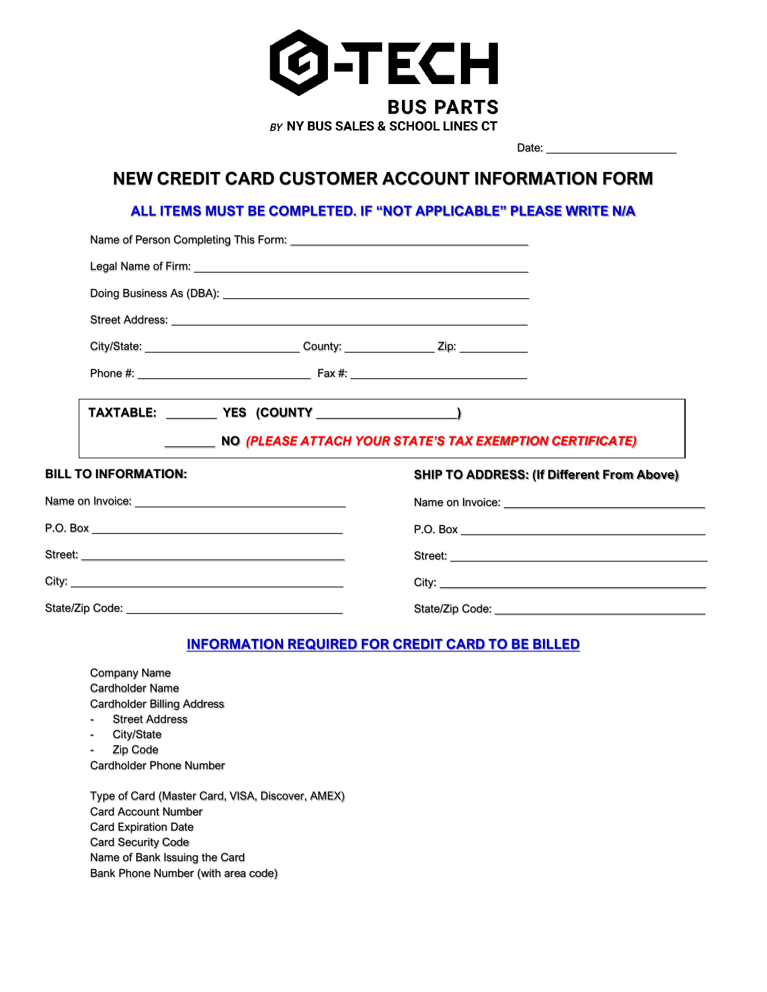

Date:

# **NEW CREDIT CARD CUSTOMER ACCOUNT INFORMATION FORM**

#### **ALL ITEMS MUST BE COMPLETED. IF "NOT APPLICABLE" PLEASE WRITE N/A**

|                             |  | City/State: _________________________________County: ____________________Zip: _____________________                                                                                                                            |
|-----------------------------|--|--------------------------------------------------------------------------------------------------------------------------------------------------------------------------------------------------------------------------------|
|                             |  |                                                                                                                                                                                                                                |
|                             |  |                                                                                                                                                                                                                                |
|                             |  | NO (PLEASE ATTACH YOUR STATE'S TAX EXEMPTION CERTIFICATE)                                                                                                                                                                      |
| <b>BILL TO INFORMATION:</b> |  | <b>SHIP TO ADDRESS: (If Different From Above)</b>                                                                                                                                                                              |
|                             |  | Name on Invoice: University of the Contract of the Contract of the Contract of the Contract of the Contract of the Contract of the Contract of the Contract of the Contract of the Contract of the Contract of the Contract of |
|                             |  |                                                                                                                                                                                                                                |
|                             |  | Street: <u>Communication</u>                                                                                                                                                                                                   |
|                             |  | City: City:                                                                                                                                                                                                                    |
|                             |  | State/Zip Code: ____________                                                                                                                                                                                                   |

## **INFORMATION REQUIRED FOR CREDIT CARD TO BE BILLED**

- Company Name Cardholder Name Cardholder Billing Address
- Street Address
- City/State
- Zip Code Cardholder Phone Number

Type of Card (Master Card, VISA, Discover, AMEX) Card Account Number Card Expiration Date Card Security Code Name of Bank Issuing the Card Bank Phone Number (with area code)